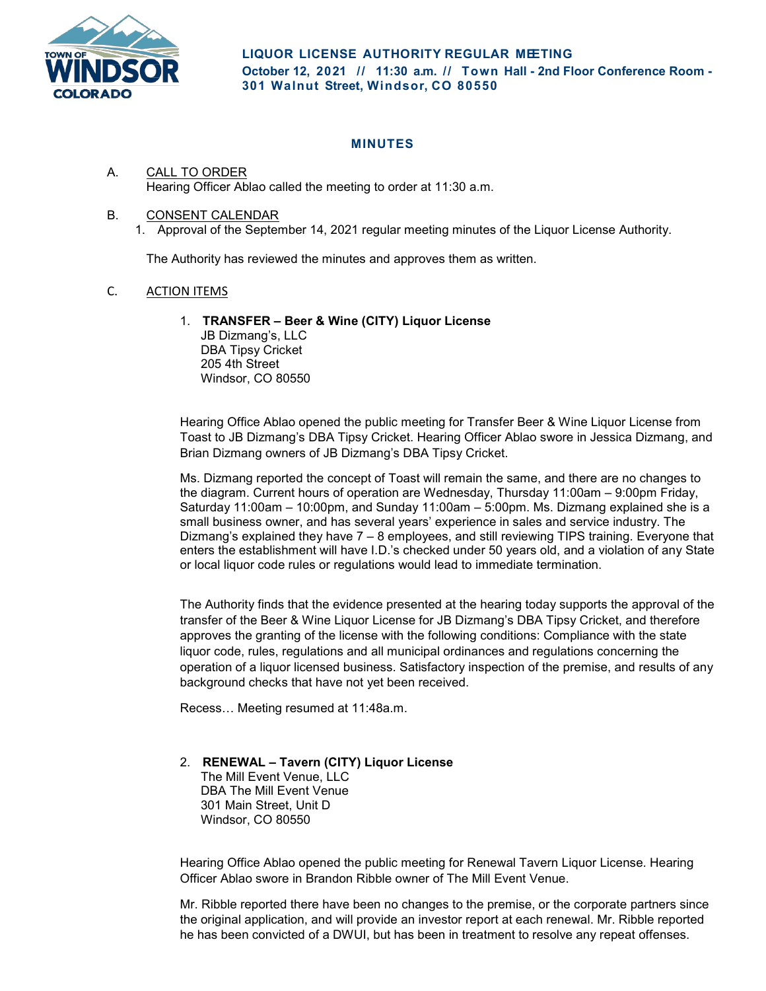

## **MINUTES**

## A. CALL TO ORDER Hearing Officer Ablao called the meeting to order at 11:30 a.m.

## B. CONSENT CALENDAR

1. Approval of the September 14, 2021 regular meeting minutes of the Liquor License Authority.

The Authority has reviewed the minutes and approves them as written.

## C. ACTION ITEMS

1. **TRANSFER – Beer & Wine (CITY) Liquor License** 

JB Dizmang's, LLC DBA Tipsy Cricket 205 4th Street Windsor, CO 80550

Hearing Office Ablao opened the public meeting for Transfer Beer & Wine Liquor License from Toast to JB Dizmang's DBA Tipsy Cricket. Hearing Officer Ablao swore in Jessica Dizmang, and Brian Dizmang owners of JB Dizmang's DBA Tipsy Cricket.

Ms. Dizmang reported the concept of Toast will remain the same, and there are no changes to the diagram. Current hours of operation are Wednesday, Thursday 11:00am – 9:00pm Friday, Saturday 11:00am – 10:00pm, and Sunday 11:00am – 5:00pm. Ms. Dizmang explained she is a small business owner, and has several years' experience in sales and service industry. The Dizmang's explained they have 7 – 8 employees, and still reviewing TIPS training. Everyone that enters the establishment will have I.D.'s checked under 50 years old, and a violation of any State or local liquor code rules or regulations would lead to immediate termination.

The Authority finds that the evidence presented at the hearing today supports the approval of the transfer of the Beer & Wine Liquor License for JB Dizmang's DBA Tipsy Cricket, and therefore approves the granting of the license with the following conditions: Compliance with the state liquor code, rules, regulations and all municipal ordinances and regulations concerning the operation of a liquor licensed business. Satisfactory inspection of the premise, and results of any background checks that have not yet been received.

Recess… Meeting resumed at 11:48a.m.

2. **RENEWAL – Tavern (CITY) Liquor License**  The Mill Event Venue, LLC DBA The Mill Event Venue 301 Main Street, Unit D Windsor, CO 80550

Hearing Office Ablao opened the public meeting for Renewal Tavern Liquor License. Hearing Officer Ablao swore in Brandon Ribble owner of The Mill Event Venue.

Mr. Ribble reported there have been no changes to the premise, or the corporate partners since the original application, and will provide an investor report at each renewal. Mr. Ribble reported he has been convicted of a DWUI, but has been in treatment to resolve any repeat offenses.